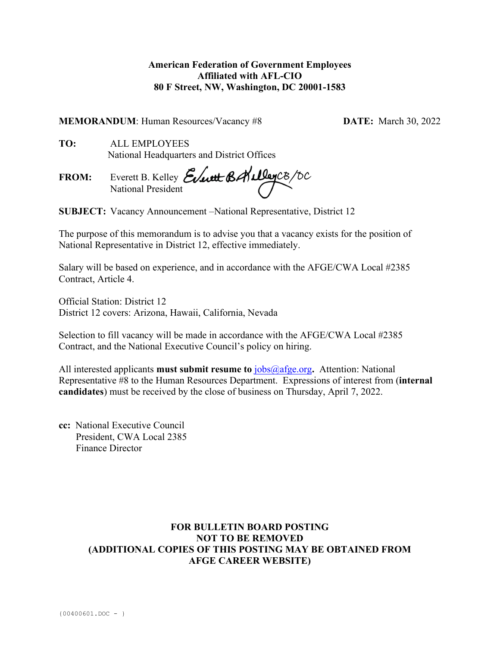### **American Federation of Government Employees Affiliated with AFL-CIO 80 F Street, NW, Washington, DC 20001-1583**

**MEMORANDUM**: Human Resources/Vacancy #8 **DATE:** March 30, 2022

**TO:** ALL EMPLOYEES National Headquarters and District Offices

**FROM:** Everett B. Kelley National President

**SUBJECT:** Vacancy Announcement –National Representative, District 12

The purpose of this memorandum is to advise you that a vacancy exists for the position of National Representative in District 12, effective immediately.

Salary will be based on experience, and in accordance with the AFGE/CWA Local #2385 Contract, Article 4.

Official Station: District 12 District 12 covers: Arizona, Hawaii, California, Nevada

Selection to fill vacancy will be made in accordance with the AFGE/CWA Local #2385 Contract, and the National Executive Council's policy on hiring.

All interested applicants **must submit resume to** [jobs@afge.org](mailto:jobs@afge.org)**.** Attention: National Representative #8 to the Human Resources Department. Expressions of interest from (**internal candidates**) must be received by the close of business on Thursday, April 7, 2022.

**cc:** National Executive Council President, CWA Local 2385 Finance Director

# **FOR BULLETIN BOARD POSTING NOT TO BE REMOVED (ADDITIONAL COPIES OF THIS POSTING MAY BE OBTAINED FROM AFGE CAREER WEBSITE)**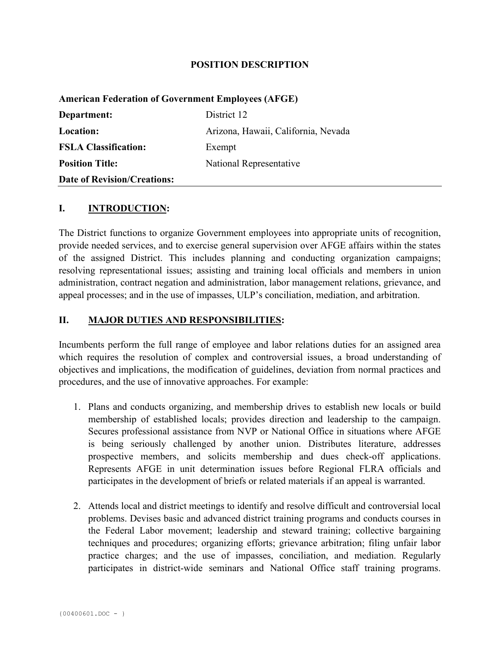#### **POSITION DESCRIPTION**

# **American Federation of Government Employees (AFGE) Department:** District 12 **Location:** Arizona, Hawaii, California, Nevada **FSLA Classification:** Exempt **Position Title:** National Representative **Date of Revision/Creations:**

#### **I. INTRODUCTION:**

The District functions to organize Government employees into appropriate units of recognition, provide needed services, and to exercise general supervision over AFGE affairs within the states of the assigned District. This includes planning and conducting organization campaigns; resolving representational issues; assisting and training local officials and members in union administration, contract negation and administration, labor management relations, grievance, and appeal processes; and in the use of impasses, ULP's conciliation, mediation, and arbitration.

#### **II. MAJOR DUTIES AND RESPONSIBILITIES:**

Incumbents perform the full range of employee and labor relations duties for an assigned area which requires the resolution of complex and controversial issues, a broad understanding of objectives and implications, the modification of guidelines, deviation from normal practices and procedures, and the use of innovative approaches. For example:

- 1. Plans and conducts organizing, and membership drives to establish new locals or build membership of established locals; provides direction and leadership to the campaign. Secures professional assistance from NVP or National Office in situations where AFGE is being seriously challenged by another union. Distributes literature, addresses prospective members, and solicits membership and dues check-off applications. Represents AFGE in unit determination issues before Regional FLRA officials and participates in the development of briefs or related materials if an appeal is warranted.
- 2. Attends local and district meetings to identify and resolve difficult and controversial local problems. Devises basic and advanced district training programs and conducts courses in the Federal Labor movement; leadership and steward training; collective bargaining techniques and procedures; organizing efforts; grievance arbitration; filing unfair labor practice charges; and the use of impasses, conciliation, and mediation. Regularly participates in district-wide seminars and National Office staff training programs.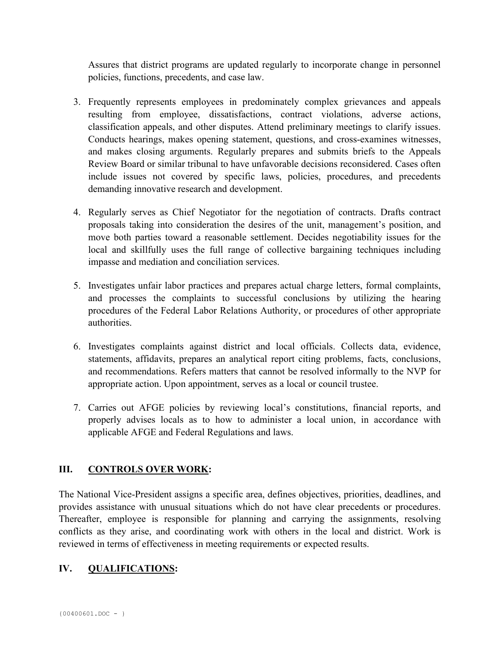Assures that district programs are updated regularly to incorporate change in personnel policies, functions, precedents, and case law.

- 3. Frequently represents employees in predominately complex grievances and appeals resulting from employee, dissatisfactions, contract violations, adverse actions, classification appeals, and other disputes. Attend preliminary meetings to clarify issues. Conducts hearings, makes opening statement, questions, and cross-examines witnesses, and makes closing arguments. Regularly prepares and submits briefs to the Appeals Review Board or similar tribunal to have unfavorable decisions reconsidered. Cases often include issues not covered by specific laws, policies, procedures, and precedents demanding innovative research and development.
- 4. Regularly serves as Chief Negotiator for the negotiation of contracts. Drafts contract proposals taking into consideration the desires of the unit, management's position, and move both parties toward a reasonable settlement. Decides negotiability issues for the local and skillfully uses the full range of collective bargaining techniques including impasse and mediation and conciliation services.
- 5. Investigates unfair labor practices and prepares actual charge letters, formal complaints, and processes the complaints to successful conclusions by utilizing the hearing procedures of the Federal Labor Relations Authority, or procedures of other appropriate authorities.
- 6. Investigates complaints against district and local officials. Collects data, evidence, statements, affidavits, prepares an analytical report citing problems, facts, conclusions, and recommendations. Refers matters that cannot be resolved informally to the NVP for appropriate action. Upon appointment, serves as a local or council trustee.
- 7. Carries out AFGE policies by reviewing local's constitutions, financial reports, and properly advises locals as to how to administer a local union, in accordance with applicable AFGE and Federal Regulations and laws.

# **III.** CONTROLS OVER WORK:

The National Vice-President assigns a specific area, defines objectives, priorities, deadlines, and provides assistance with unusual situations which do not have clear precedents or procedures. Thereafter, employee is responsible for planning and carrying the assignments, resolving conflicts as they arise, and coordinating work with others in the local and district. Work is reviewed in terms of effectiveness in meeting requirements or expected results.

# **IV. QUALIFICATIONS:**